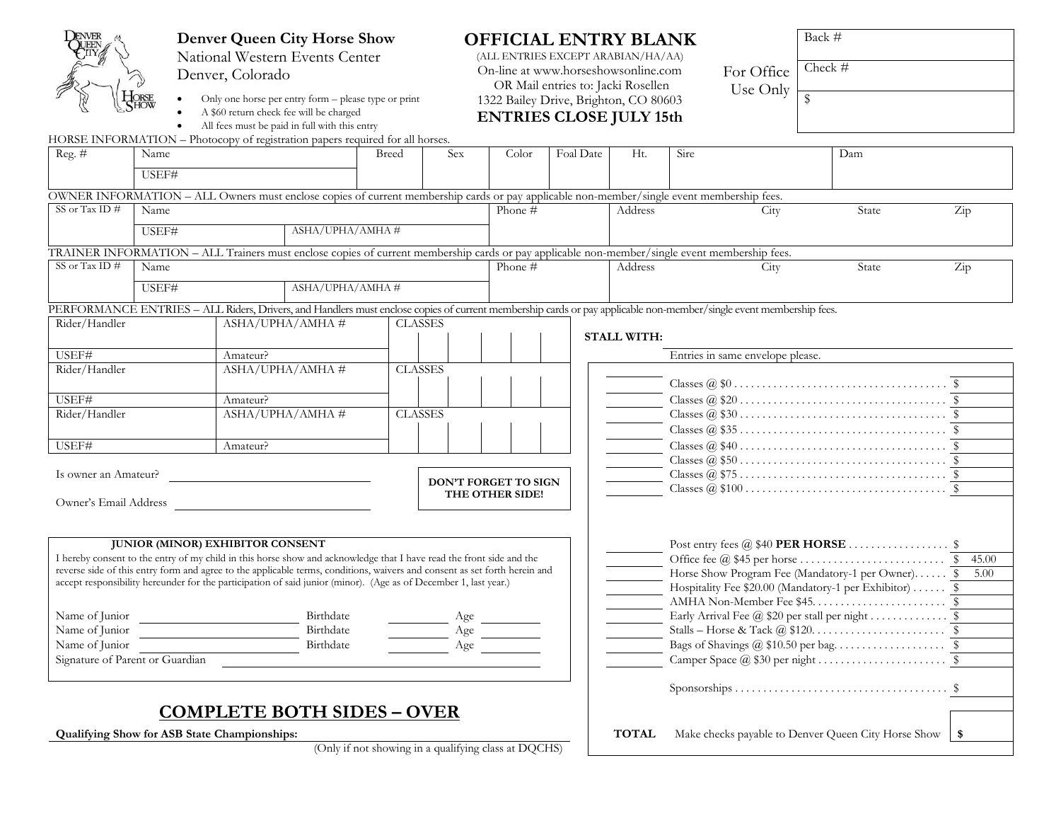| <b>Denver Queen City Horse Show</b>                                                                                                                             |       |                                                                                                                            |                 |                | <b>OFFICIAL ENTRY BLANK</b><br>(ALL ENTRIES EXCEPT ARABIAN/HA/AA) |                                                |           |                    |                                                                                                           | Back #                                                                                                                                                             |                         |       |                      |
|-----------------------------------------------------------------------------------------------------------------------------------------------------------------|-------|----------------------------------------------------------------------------------------------------------------------------|-----------------|----------------|-------------------------------------------------------------------|------------------------------------------------|-----------|--------------------|-----------------------------------------------------------------------------------------------------------|--------------------------------------------------------------------------------------------------------------------------------------------------------------------|-------------------------|-------|----------------------|
| National Western Events Center                                                                                                                                  |       |                                                                                                                            |                 |                |                                                                   |                                                |           |                    |                                                                                                           |                                                                                                                                                                    |                         |       |                      |
| Denver, Colorado                                                                                                                                                |       |                                                                                                                            |                 |                | On-line at www.horseshowsonline.com                               |                                                |           |                    | For Office                                                                                                | Check #                                                                                                                                                            |                         |       |                      |
|                                                                                                                                                                 |       |                                                                                                                            |                 |                |                                                                   | OR Mail entries to: Jacki Rosellen<br>Use Only |           |                    |                                                                                                           |                                                                                                                                                                    |                         |       |                      |
|                                                                                                                                                                 |       | Only one horse per entry form - please type or print                                                                       |                 |                |                                                                   | 1322 Bailey Drive, Brighton, CO 80603          |           |                    |                                                                                                           |                                                                                                                                                                    | $\overline{\mathbf{S}}$ |       |                      |
|                                                                                                                                                                 |       | A \$60 return check fee will be charged                                                                                    |                 |                |                                                                   | <b>ENTRIES CLOSE JULY 15th</b>                 |           |                    |                                                                                                           |                                                                                                                                                                    |                         |       |                      |
| HORSE INFORMATION - Photocopy of registration papers required for all horses.                                                                                   | ٠     | All fees must be paid in full with this entry                                                                              |                 |                |                                                                   |                                                |           |                    |                                                                                                           |                                                                                                                                                                    |                         |       |                      |
| Reg. $#$                                                                                                                                                        | Name  |                                                                                                                            |                 | Breed          | <b>Sex</b>                                                        | Color                                          | Foal Date | Ht.                | Sire                                                                                                      |                                                                                                                                                                    | Dam                     |       |                      |
|                                                                                                                                                                 |       |                                                                                                                            |                 |                |                                                                   |                                                |           |                    |                                                                                                           |                                                                                                                                                                    |                         |       |                      |
|                                                                                                                                                                 | USEF# |                                                                                                                            |                 |                |                                                                   |                                                |           |                    |                                                                                                           |                                                                                                                                                                    |                         |       |                      |
| OWNER INFORMATION - ALL Owners must enclose copies of current membership cards or pay applicable non-member/single event membership fees.                       |       |                                                                                                                            |                 |                |                                                                   |                                                |           |                    |                                                                                                           |                                                                                                                                                                    |                         |       |                      |
| SS or Tax ID $#$                                                                                                                                                | Name  |                                                                                                                            |                 |                |                                                                   | Phone $#$                                      |           | Address            |                                                                                                           | City                                                                                                                                                               |                         | State | Zip                  |
|                                                                                                                                                                 |       |                                                                                                                            |                 |                |                                                                   |                                                |           |                    |                                                                                                           |                                                                                                                                                                    |                         |       |                      |
|                                                                                                                                                                 | USEF# |                                                                                                                            | ASHA/UPHA/AMHA# |                |                                                                   |                                                |           |                    |                                                                                                           |                                                                                                                                                                    |                         |       |                      |
| TRAINER INFORMATION - ALL Trainers must enclose copies of current membership cards or pay applicable non-member/single event membership fees.                   |       |                                                                                                                            |                 |                |                                                                   |                                                |           |                    |                                                                                                           |                                                                                                                                                                    |                         |       |                      |
| SS or Tax ID $#$                                                                                                                                                | Name  |                                                                                                                            |                 |                |                                                                   | Phone #                                        |           | Address            |                                                                                                           | City                                                                                                                                                               |                         | State | $\operatorname{Zip}$ |
|                                                                                                                                                                 | USEF# |                                                                                                                            | ASHA/UPHA/AMHA# |                |                                                                   |                                                |           |                    |                                                                                                           |                                                                                                                                                                    |                         |       |                      |
|                                                                                                                                                                 |       |                                                                                                                            |                 |                |                                                                   |                                                |           |                    |                                                                                                           |                                                                                                                                                                    |                         |       |                      |
|                                                                                                                                                                 |       |                                                                                                                            |                 |                |                                                                   |                                                |           |                    |                                                                                                           | PERFORMANCE ENTRIES - ALL Riders, Drivers, and Handlers must enclose copies of current membership cards or pay applicable non-member/single event membership fees. |                         |       |                      |
| Rider/Handler                                                                                                                                                   |       | ASHA/UPHA/AMHA#                                                                                                            |                 | <b>CLASSES</b> |                                                                   |                                                |           |                    |                                                                                                           |                                                                                                                                                                    |                         |       |                      |
|                                                                                                                                                                 |       |                                                                                                                            |                 |                |                                                                   |                                                |           | <b>STALL WITH:</b> |                                                                                                           |                                                                                                                                                                    |                         |       |                      |
| USEF#                                                                                                                                                           |       | Amateur?                                                                                                                   |                 |                |                                                                   | Entries in same envelope please.               |           |                    |                                                                                                           |                                                                                                                                                                    |                         |       |                      |
| Rider/Handler                                                                                                                                                   |       | ASHA/UPHA/AMHA#                                                                                                            |                 | <b>CLASSES</b> |                                                                   |                                                |           |                    |                                                                                                           |                                                                                                                                                                    |                         |       |                      |
|                                                                                                                                                                 |       |                                                                                                                            |                 |                |                                                                   |                                                |           |                    |                                                                                                           |                                                                                                                                                                    |                         |       |                      |
| USEF#                                                                                                                                                           |       | Amateur?                                                                                                                   |                 |                |                                                                   |                                                |           |                    |                                                                                                           |                                                                                                                                                                    |                         |       |                      |
| Rider/Handler                                                                                                                                                   |       | ASHA/UPHA/AMHA#                                                                                                            |                 | <b>CLASSES</b> |                                                                   |                                                |           |                    |                                                                                                           |                                                                                                                                                                    |                         |       |                      |
|                                                                                                                                                                 |       |                                                                                                                            |                 |                |                                                                   |                                                |           |                    |                                                                                                           |                                                                                                                                                                    |                         |       |                      |
| USEF#                                                                                                                                                           |       | Amateur?                                                                                                                   |                 |                |                                                                   |                                                |           |                    |                                                                                                           |                                                                                                                                                                    |                         |       |                      |
|                                                                                                                                                                 |       |                                                                                                                            |                 |                |                                                                   |                                                |           |                    |                                                                                                           |                                                                                                                                                                    |                         |       |                      |
| Is owner an Amateur?                                                                                                                                            |       |                                                                                                                            |                 |                |                                                                   | DON'T FORGET TO SIGN                           |           |                    |                                                                                                           |                                                                                                                                                                    |                         |       |                      |
|                                                                                                                                                                 |       |                                                                                                                            |                 |                | THE OTHER SIDE!                                                   |                                                |           |                    |                                                                                                           |                                                                                                                                                                    |                         |       |                      |
| Owner's Email Address                                                                                                                                           |       |                                                                                                                            |                 |                |                                                                   |                                                |           |                    |                                                                                                           |                                                                                                                                                                    |                         |       |                      |
|                                                                                                                                                                 |       |                                                                                                                            |                 |                |                                                                   |                                                |           |                    |                                                                                                           |                                                                                                                                                                    |                         |       |                      |
|                                                                                                                                                                 |       |                                                                                                                            |                 |                |                                                                   |                                                |           |                    |                                                                                                           |                                                                                                                                                                    |                         |       |                      |
| <b>JUNIOR (MINOR) EXHIBITOR CONSENT</b><br>I hereby consent to the entry of my child in this horse show and acknowledge that I have read the front side and the |       |                                                                                                                            |                 |                |                                                                   |                                                |           |                    |                                                                                                           |                                                                                                                                                                    |                         |       |                      |
|                                                                                                                                                                 |       | reverse side of this entry form and agree to the applicable terms, conditions, waivers and consent as set forth herein and |                 |                |                                                                   |                                                |           |                    |                                                                                                           |                                                                                                                                                                    |                         |       | 45.00<br>5.00        |
|                                                                                                                                                                 |       | accept responsibility hereunder for the participation of said junior (minor). (Age as of December 1, last year.)           |                 |                |                                                                   |                                                |           |                    | Horse Show Program Fee (Mandatory-1 per Owner)<br>Hospitality Fee \$20.00 (Mandatory-1 per Exhibitor)  \$ |                                                                                                                                                                    |                         |       |                      |
|                                                                                                                                                                 |       |                                                                                                                            |                 |                |                                                                   |                                                |           |                    |                                                                                                           |                                                                                                                                                                    |                         |       |                      |
| Name of Junior                                                                                                                                                  |       |                                                                                                                            | Birthdate       |                | Age                                                               |                                                |           |                    |                                                                                                           | Early Arrival Fee @ \$20 per stall per night                                                                                                                       |                         |       | - \$                 |
| Name of Junior                                                                                                                                                  |       |                                                                                                                            | Birthdate       |                | Age                                                               |                                                |           |                    |                                                                                                           |                                                                                                                                                                    |                         |       |                      |
| Name of Junior                                                                                                                                                  |       |                                                                                                                            | Birthdate       |                | Age                                                               |                                                |           |                    |                                                                                                           |                                                                                                                                                                    |                         |       |                      |
| Signature of Parent or Guardian                                                                                                                                 |       |                                                                                                                            |                 |                |                                                                   |                                                |           |                    |                                                                                                           |                                                                                                                                                                    |                         |       |                      |
|                                                                                                                                                                 |       |                                                                                                                            |                 |                |                                                                   |                                                |           |                    |                                                                                                           |                                                                                                                                                                    |                         |       |                      |
|                                                                                                                                                                 |       |                                                                                                                            |                 |                |                                                                   |                                                |           |                    |                                                                                                           |                                                                                                                                                                    |                         |       |                      |
|                                                                                                                                                                 |       |                                                                                                                            |                 |                |                                                                   |                                                |           |                    |                                                                                                           |                                                                                                                                                                    |                         |       |                      |
|                                                                                                                                                                 |       | <b>COMPLETE BOTH SIDES - OVER</b>                                                                                          |                 |                |                                                                   |                                                |           |                    |                                                                                                           |                                                                                                                                                                    |                         |       |                      |
|                                                                                                                                                                 |       | Qualifying Show for ASB State Championships:                                                                               |                 |                |                                                                   |                                                |           | <b>TOTAL</b>       |                                                                                                           | Make checks payable to Denver Queen City Horse Show                                                                                                                |                         |       |                      |
| (Only if not showing in a qualifying class at DQCHS)                                                                                                            |       |                                                                                                                            |                 |                |                                                                   |                                                |           |                    |                                                                                                           |                                                                                                                                                                    |                         |       |                      |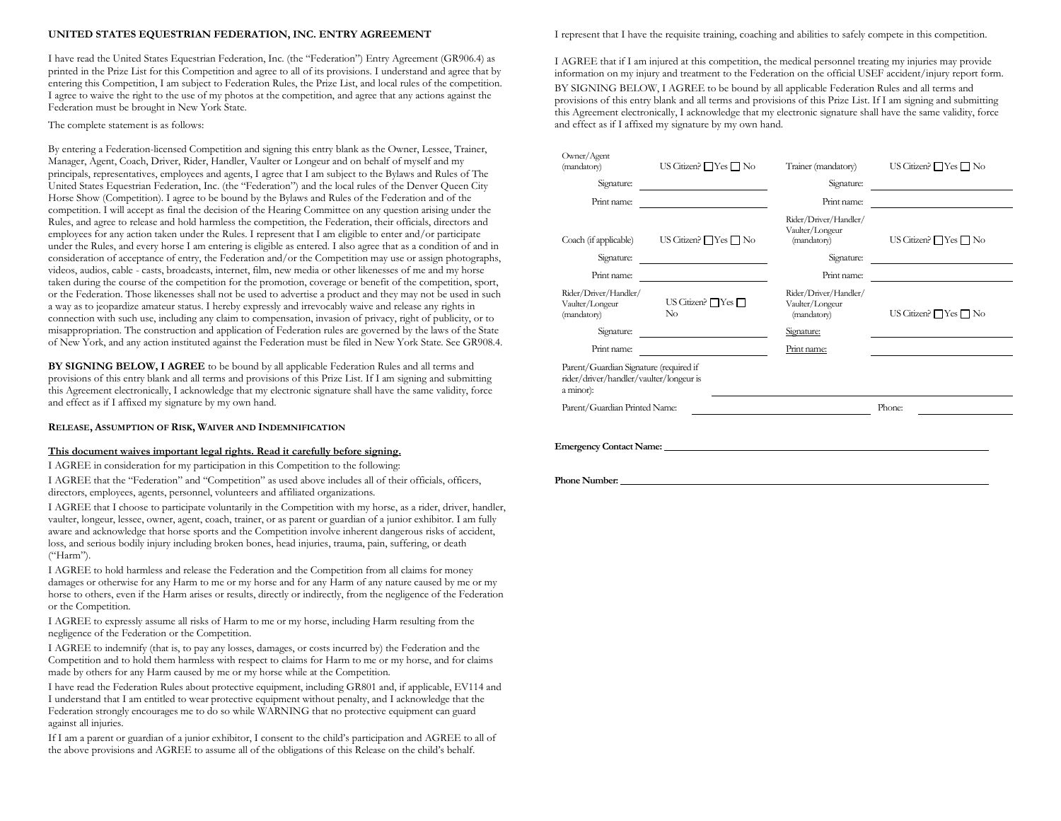# **UNITED STATES EQUESTRIAN FEDERATION, INC. ENTRY AGREEMENT**

I have read the United States Equestrian Federation, Inc. (the "Federation") Entry Agreement (GR906.4) as printed in the Prize List for this Competition and agree to all of its provisions. I understand and agree that by entering this Competition, I am subject to Federation Rules, the Prize List, and local rules of the competition. I agree to waive the right to the use of my photos at the competition, and agree that any actions against the Federation must be brought in New York State.

## The complete statement is as follows:

By entering a Federation-licensed Competition and signing this entry blank as the Owner, Lessee, Trainer, Manager, Agent, Coach, Driver, Rider, Handler, Vaulter or Longeur and on behalf of myself and my principals, representatives, employees and agents, I agree that I am subject to the Bylaws and Rules of The United States Equestrian Federation, Inc. (the "Federation") and the local rules of the Denver Queen City Horse Show (Competition). I agree to be bound by the Bylaws and Rules of the Federation and of the competition. I will accept as final the decision of the Hearing Committee on any question arising under the Rules, and agree to release and hold harmless the competition, the Federation, their officials, directors and employees for any action taken under the Rules. I represent that I am eligible to enter and/or participate under the Rules, and every horse I am entering is eligible as entered. I also agree that as a condition of and in consideration of acceptance of entry, the Federation and/or the Competition may use or assign photographs, videos, audios, cable - casts, broadcasts, internet, film, new media or other likenesses of me and my horse taken during the course of the competition for the promotion, coverage or benefit of the competition, sport, or the Federation. Those likenesses shall not be used to advertise a product and they may not be used in such a way as to jeopardize amateur status. I hereby expressly and irrevocably waive and release any rights in connection with such use, including any claim to compensation, invasion of privacy, right of publicity, or to misappropriation. The construction and application of Federation rules are governed by the laws of the State of New York, and any action instituted against the Federation must be filed in New York State. See GR908.4.

**BY SIGNING BELOW, I AGREE** to be bound by all applicable Federation Rules and all terms and provisions of this entry blank and all terms and provisions of this Prize List. If I am signing and submitting this Agreement electronically, I acknowledge that my electronic signature shall have the same validity, force and effect as if I affixed my signature by my own hand.

**RELEASE, ASSUMPTION OF RISK, WAIVER AND INDEMNIFICATION**

### **This document waives important legal rights. Read it carefully before signing.**

I AGREE in consideration for my participation in this Competition to the following: I AGREE that the "Federation" and "Competition" as used above includes all of their officials, officers, directors, employees, agents, personnel, volunteers and affiliated organizations.

I AGREE that I choose to participate voluntarily in the Competition with my horse, as a rider, driver, handler, vaulter, longeur, lessee, owner, agent, coach, trainer, or as parent or guardian of a junior exhibitor. I am fully aware and acknowledge that horse sports and the Competition involve inherent dangerous risks of accident, loss, and serious bodily injury including broken bones, head injuries, trauma, pain, suffering, or death ("Harm").

I AGREE to hold harmless and release the Federation and the Competition from all claims for money damages or otherwise for any Harm to me or my horse and for any Harm of any nature caused by me or my horse to others, even if the Harm arises or results, directly or indirectly, from the negligence of the Federation or the Competition.

I AGREE to expressly assume all risks of Harm to me or my horse, including Harm resulting from the negligence of the Federation or the Competition.

I AGREE to indemnify (that is, to pay any losses, damages, or costs incurred by) the Federation and the Competition and to hold them harmless with respect to claims for Harm to me or my horse, and for claims made by others for any Harm caused by me or my horse while at the Competition.

I have read the Federation Rules about protective equipment, including GR801 and, if applicable, EV114 and I understand that I am entitled to wear protective equipment without penalty, and I acknowledge that the Federation strongly encourages me to do so while WARNING that no protective equipment can guard against all injuries.

If I am a parent or guardian of a junior exhibitor, I consent to the child's participation and AGREE to all of the above provisions and AGREE to assume all of the obligations of this Release on the child's behalf.

I represent that I have the requisite training, coaching and abilities to safely compete in this competition.

I AGREE that if I am injured at this competition, the medical personnel treating my injuries may provide information on my injury and treatment to the Federation on the official USEF accident/injury report form. BY SIGNING BELOW, I AGREE to be bound by all applicable Federation Rules and all terms and provisions of this entry blank and all terms and provisions of this Prize List. If I am signing and submitting this Agreement electronically, I acknowledge that my electronic signature shall have the same validity, force and effect as if I affixed my signature by my own hand.

| Owner/Agent<br>(mandatory)                                                                     | US Citizen? $\Box$ Yes $\Box$ No    | Trainer (mandatory)                                                   | US Citizen? $\Box$ Yes $\Box$ No |  |  |  |  |
|------------------------------------------------------------------------------------------------|-------------------------------------|-----------------------------------------------------------------------|----------------------------------|--|--|--|--|
| Signature:                                                                                     |                                     | Signature:                                                            |                                  |  |  |  |  |
| Print name:                                                                                    |                                     | Print name:                                                           |                                  |  |  |  |  |
| Coach (if applicable)<br>Signature:                                                            | US Citizen? $\Box$ Yes $\Box$ No    | Rider/Driver/Handler/<br>Vaulter/Longeur<br>(mandatory)<br>Signature: | US Citizen? $\Box$ Yes $\Box$ No |  |  |  |  |
| Print name:                                                                                    |                                     | Print name:                                                           |                                  |  |  |  |  |
| Rider/Driver/Handler/<br>Vaulter/Longeur<br>(mandatory)                                        | US Citizen? $\Box$ Yes $\Box$<br>No | Rider/Driver/Handler/<br>Vaulter/Longeur<br>(mandatory)               | US Citizen? $\Box$ Yes $\Box$ No |  |  |  |  |
| Signature:                                                                                     |                                     | Signature:                                                            |                                  |  |  |  |  |
| Print name:                                                                                    |                                     | Print name:                                                           |                                  |  |  |  |  |
| Parent/Guardian Signature (required if<br>rider/driver/handler/vaulter/longeur is<br>a minor): |                                     |                                                                       |                                  |  |  |  |  |
| Parent/Guardian Printed Name:                                                                  |                                     | Phone:                                                                |                                  |  |  |  |  |
| <b>Emergency Contact Name:</b>                                                                 |                                     |                                                                       |                                  |  |  |  |  |

#### **Phone Number:**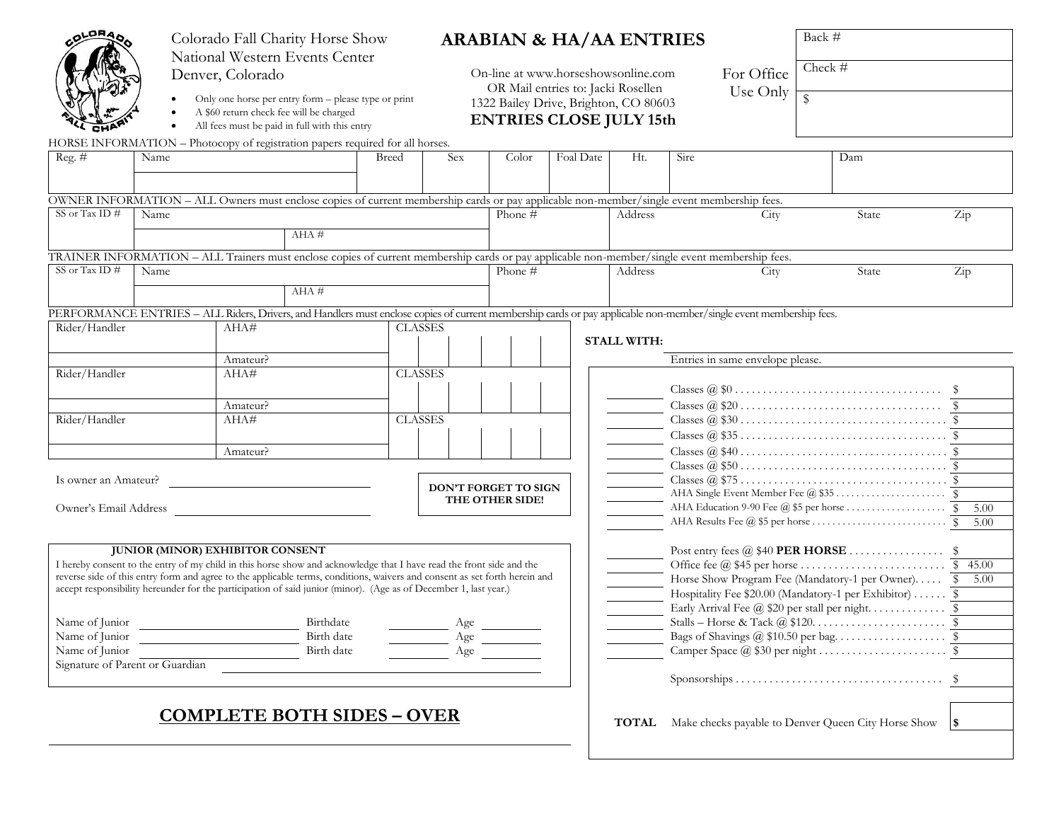| <b>ALDRAD</b>                                                                                                        | Colorado Fall Charity Horse Show<br>National Western Events Center | <b>ARABIAN &amp; HA/AA ENTRIES</b><br>For Office<br>On-line at www.horseshowsonline.com |                                                                                                                            |       |                      |                 | Back #<br>Check # |           |                                       |                                                                                                                                                                    |                                                     |                      |
|----------------------------------------------------------------------------------------------------------------------|--------------------------------------------------------------------|-----------------------------------------------------------------------------------------|----------------------------------------------------------------------------------------------------------------------------|-------|----------------------|-----------------|-------------------|-----------|---------------------------------------|--------------------------------------------------------------------------------------------------------------------------------------------------------------------|-----------------------------------------------------|----------------------|
|                                                                                                                      | Denver, Colorado                                                   | OR Mail entries to: Jacki Rosellen                                                      |                                                                                                                            |       |                      |                 | Use Only          |           |                                       |                                                                                                                                                                    |                                                     |                      |
|                                                                                                                      |                                                                    |                                                                                         | Only one horse per entry form - please type or print                                                                       |       |                      |                 |                   |           | 1322 Bailey Drive, Brighton, CO 80603 |                                                                                                                                                                    |                                                     |                      |
|                                                                                                                      |                                                                    |                                                                                         | A \$60 return check fee will be charged<br>All fees must be paid in full with this entry                                   |       |                      |                 |                   |           | <b>ENTRIES CLOSE JULY 15th</b>        |                                                                                                                                                                    |                                                     |                      |
| HORSE INFORMATION - Photocopy of registration papers required for all horses.                                        |                                                                    |                                                                                         |                                                                                                                            |       |                      |                 |                   |           |                                       |                                                                                                                                                                    |                                                     |                      |
| Reg. $#$                                                                                                             | Name                                                               |                                                                                         |                                                                                                                            | Breed | <b>Sex</b>           | Color           |                   | Foal Date | Ht.                                   | Sire                                                                                                                                                               | Dam                                                 |                      |
|                                                                                                                      |                                                                    |                                                                                         |                                                                                                                            |       |                      |                 |                   |           |                                       |                                                                                                                                                                    |                                                     |                      |
|                                                                                                                      |                                                                    |                                                                                         |                                                                                                                            |       |                      |                 |                   |           |                                       |                                                                                                                                                                    |                                                     |                      |
|                                                                                                                      |                                                                    |                                                                                         |                                                                                                                            |       |                      |                 |                   |           |                                       | OWNER INFORMATION - ALL Owners must enclose copies of current membership cards or pay applicable non-member/single event membership fees.                          |                                                     |                      |
| SS or Tax ID $#$                                                                                                     | Name                                                               |                                                                                         |                                                                                                                            |       |                      | Phone #         |                   |           | Address                               | City                                                                                                                                                               | State                                               | $\operatorname{Zip}$ |
|                                                                                                                      |                                                                    |                                                                                         | $AHA \#$                                                                                                                   |       |                      |                 |                   |           |                                       |                                                                                                                                                                    |                                                     |                      |
|                                                                                                                      |                                                                    |                                                                                         |                                                                                                                            |       |                      |                 |                   |           |                                       | TRAINER INFORMATION - ALL Trainers must enclose copies of current membership cards or pay applicable non-member/single event membership fees.                      |                                                     |                      |
| SS or Tax ID #                                                                                                       | Name                                                               |                                                                                         |                                                                                                                            |       |                      | Phone #         |                   |           | Address                               | City                                                                                                                                                               | State                                               | $\operatorname{Zip}$ |
|                                                                                                                      |                                                                    |                                                                                         | $AHA \#$                                                                                                                   |       |                      |                 |                   |           |                                       |                                                                                                                                                                    |                                                     |                      |
|                                                                                                                      |                                                                    |                                                                                         |                                                                                                                            |       |                      |                 |                   |           |                                       |                                                                                                                                                                    |                                                     |                      |
| Rider/Handler                                                                                                        |                                                                    | AHA#                                                                                    |                                                                                                                            |       | <b>CLASSES</b>       |                 |                   |           |                                       | PERFORMANCE ENTRIES - ALL Riders, Drivers, and Handlers must enclose copies of current membership cards or pay applicable non-member/single event membership fees. |                                                     |                      |
|                                                                                                                      |                                                                    |                                                                                         |                                                                                                                            |       |                      |                 |                   |           | <b>STALL WITH:</b>                    |                                                                                                                                                                    |                                                     |                      |
|                                                                                                                      |                                                                    | Amateur?                                                                                |                                                                                                                            |       |                      |                 |                   |           |                                       | Entries in same envelope please.                                                                                                                                   |                                                     |                      |
| Rider/Handler                                                                                                        |                                                                    | AHA#                                                                                    |                                                                                                                            |       | <b>CLASSES</b>       |                 |                   |           |                                       |                                                                                                                                                                    |                                                     |                      |
|                                                                                                                      |                                                                    |                                                                                         |                                                                                                                            |       |                      |                 |                   |           |                                       |                                                                                                                                                                    |                                                     |                      |
|                                                                                                                      |                                                                    | Amateur?                                                                                |                                                                                                                            |       |                      |                 |                   |           |                                       |                                                                                                                                                                    |                                                     |                      |
| Rider/Handler                                                                                                        |                                                                    | AHA#                                                                                    |                                                                                                                            |       | <b>CLASSES</b>       |                 |                   |           |                                       |                                                                                                                                                                    |                                                     |                      |
|                                                                                                                      |                                                                    |                                                                                         |                                                                                                                            |       |                      |                 |                   |           |                                       |                                                                                                                                                                    |                                                     |                      |
|                                                                                                                      |                                                                    | Amateur?                                                                                |                                                                                                                            |       |                      |                 |                   |           |                                       |                                                                                                                                                                    |                                                     |                      |
|                                                                                                                      |                                                                    |                                                                                         |                                                                                                                            |       |                      |                 |                   |           |                                       |                                                                                                                                                                    |                                                     |                      |
| Is owner an Amateur?                                                                                                 |                                                                    |                                                                                         |                                                                                                                            |       | DON'T FORGET TO SIGN |                 |                   |           |                                       |                                                                                                                                                                    |                                                     |                      |
|                                                                                                                      |                                                                    |                                                                                         |                                                                                                                            |       |                      | THE OTHER SIDE! |                   |           |                                       |                                                                                                                                                                    |                                                     |                      |
| Owner's Email Address                                                                                                |                                                                    |                                                                                         |                                                                                                                            |       |                      |                 |                   |           |                                       |                                                                                                                                                                    |                                                     | 5.00<br>5.00         |
|                                                                                                                      |                                                                    |                                                                                         |                                                                                                                            |       |                      |                 |                   |           |                                       |                                                                                                                                                                    |                                                     |                      |
|                                                                                                                      | <b>JUNIOR (MINOR) EXHIBITOR CONSENT</b>                            |                                                                                         |                                                                                                                            |       |                      |                 |                   |           |                                       |                                                                                                                                                                    |                                                     |                      |
| I hereby consent to the entry of my child in this horse show and acknowledge that I have read the front side and the |                                                                    |                                                                                         |                                                                                                                            |       |                      |                 |                   |           |                                       |                                                                                                                                                                    | 45.00<br>$^{\circ}$                                 |                      |
|                                                                                                                      |                                                                    |                                                                                         | reverse side of this entry form and agree to the applicable terms, conditions, waivers and consent as set forth herein and |       |                      |                 |                   |           |                                       | Horse Show Program Fee (Mandatory-1 per Owner) \$<br>5.00                                                                                                          |                                                     |                      |
|                                                                                                                      |                                                                    |                                                                                         | accept responsibility hereunder for the participation of said junior (minor). (Age as of December 1, last year.)           |       |                      |                 |                   |           |                                       | Hospitality Fee \$20.00 (Mandatory-1 per Exhibitor)  \$                                                                                                            |                                                     |                      |
|                                                                                                                      |                                                                    |                                                                                         |                                                                                                                            |       |                      |                 |                   |           |                                       |                                                                                                                                                                    |                                                     |                      |
| Name of Junior                                                                                                       |                                                                    |                                                                                         | Birthdate                                                                                                                  |       | Age                  |                 |                   |           |                                       |                                                                                                                                                                    |                                                     |                      |
| Name of Junior                                                                                                       |                                                                    |                                                                                         | Birth date                                                                                                                 |       | Age                  |                 |                   |           |                                       |                                                                                                                                                                    |                                                     |                      |
| Name of Junior                                                                                                       |                                                                    |                                                                                         | Birth date                                                                                                                 |       | Age                  |                 |                   |           |                                       |                                                                                                                                                                    |                                                     |                      |
| Signature of Parent or Guardian                                                                                      |                                                                    |                                                                                         |                                                                                                                            |       |                      |                 |                   |           |                                       |                                                                                                                                                                    |                                                     |                      |
|                                                                                                                      |                                                                    |                                                                                         |                                                                                                                            |       |                      |                 |                   |           |                                       |                                                                                                                                                                    |                                                     |                      |
|                                                                                                                      |                                                                    |                                                                                         | <b>COMPLETE BOTH SIDES - OVER</b>                                                                                          |       |                      |                 |                   |           | <b>TOTAL</b>                          |                                                                                                                                                                    | Make checks payable to Denver Queen City Horse Show | 1\$                  |